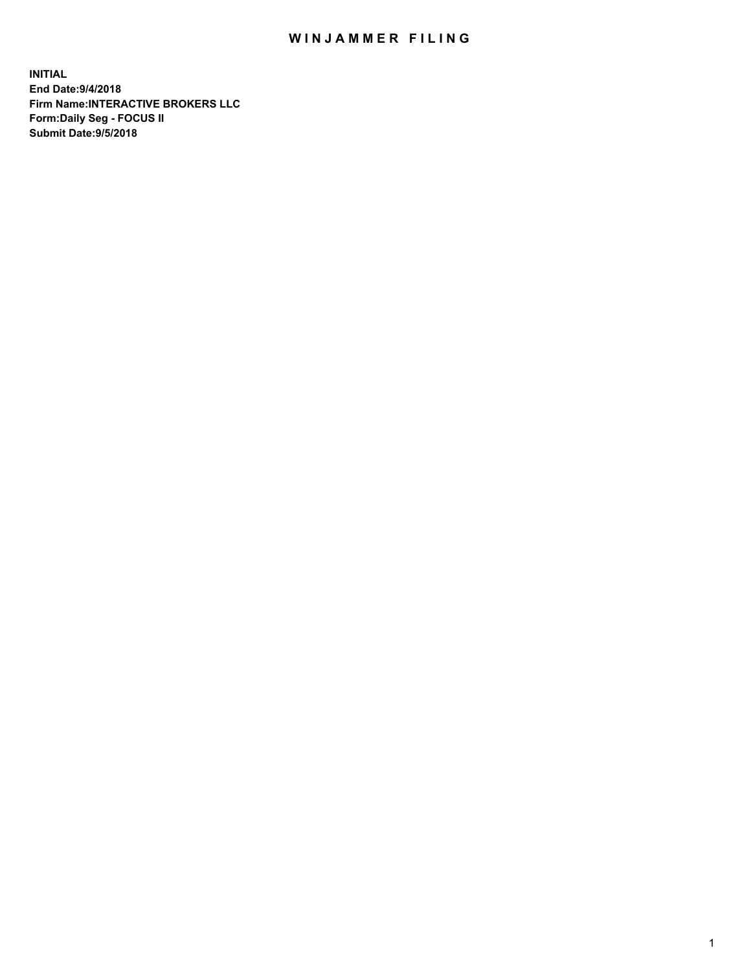## WIN JAMMER FILING

**INITIAL End Date:9/4/2018 Firm Name:INTERACTIVE BROKERS LLC Form:Daily Seg - FOCUS II Submit Date:9/5/2018**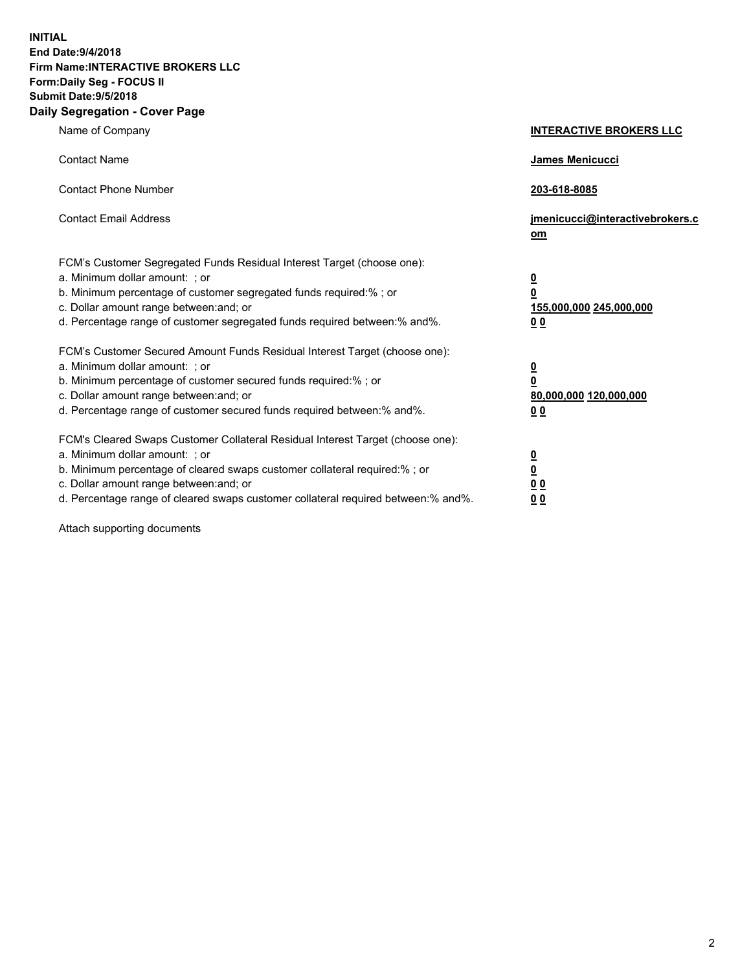**INITIAL End Date:9/4/2018 Firm Name:INTERACTIVE BROKERS LLC Form:Daily Seg - FOCUS II Submit Date:9/5/2018 Daily Segregation - Cover Page**

| Name of Company                                                                                                                                                                                                                                                                                                                | <b>INTERACTIVE BROKERS LLC</b>                                                      |
|--------------------------------------------------------------------------------------------------------------------------------------------------------------------------------------------------------------------------------------------------------------------------------------------------------------------------------|-------------------------------------------------------------------------------------|
| <b>Contact Name</b>                                                                                                                                                                                                                                                                                                            | James Menicucci                                                                     |
| <b>Contact Phone Number</b>                                                                                                                                                                                                                                                                                                    | 203-618-8085                                                                        |
| <b>Contact Email Address</b>                                                                                                                                                                                                                                                                                                   | jmenicucci@interactivebrokers.c<br>om                                               |
| FCM's Customer Segregated Funds Residual Interest Target (choose one):<br>a. Minimum dollar amount: ; or<br>b. Minimum percentage of customer segregated funds required:% ; or<br>c. Dollar amount range between: and; or<br>d. Percentage range of customer segregated funds required between:% and%.                         | $\overline{\mathbf{0}}$<br>$\overline{\mathbf{0}}$<br>155,000,000 245,000,000<br>00 |
| FCM's Customer Secured Amount Funds Residual Interest Target (choose one):<br>a. Minimum dollar amount: ; or<br>b. Minimum percentage of customer secured funds required:% ; or<br>c. Dollar amount range between: and; or<br>d. Percentage range of customer secured funds required between:% and%.                           | $\overline{\mathbf{0}}$<br>$\pmb{0}$<br>80,000,000 120,000,000<br>00                |
| FCM's Cleared Swaps Customer Collateral Residual Interest Target (choose one):<br>a. Minimum dollar amount: ; or<br>b. Minimum percentage of cleared swaps customer collateral required:% ; or<br>c. Dollar amount range between: and; or<br>d. Percentage range of cleared swaps customer collateral required between:% and%. | $\overline{\mathbf{0}}$<br>$\underline{\mathbf{0}}$<br>0 <sub>0</sub><br>00         |

Attach supporting documents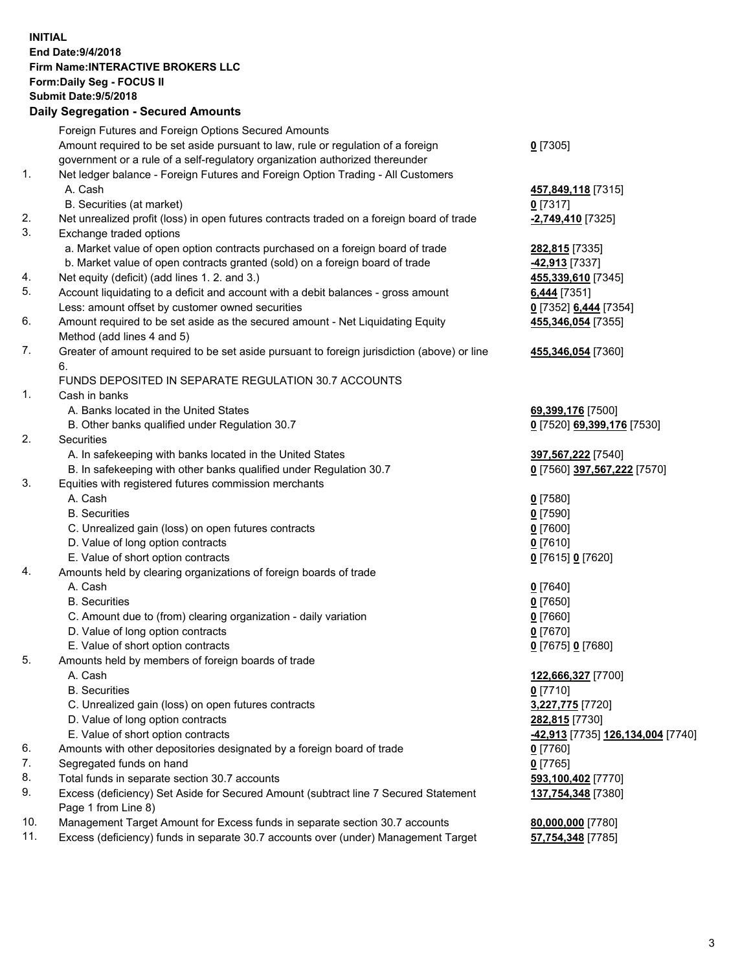## **INITIAL End Date:9/4/2018 Firm Name:INTERACTIVE BROKERS LLC Form:Daily Seg - FOCUS II Submit Date:9/5/2018 Daily Segregation - Secured Amounts**

|                | Foreign Futures and Foreign Options Secured Amounts                                               |                                                |
|----------------|---------------------------------------------------------------------------------------------------|------------------------------------------------|
|                | Amount required to be set aside pursuant to law, rule or regulation of a foreign                  | $0$ [7305]                                     |
|                | government or a rule of a self-regulatory organization authorized thereunder                      |                                                |
| $\mathbf{1}$ . | Net ledger balance - Foreign Futures and Foreign Option Trading - All Customers                   |                                                |
|                | A. Cash                                                                                           | 457,849,118 [7315]                             |
|                | B. Securities (at market)                                                                         | $0$ [7317]                                     |
| 2.             | Net unrealized profit (loss) in open futures contracts traded on a foreign board of trade         | -2,749,410 [7325]                              |
| 3.             | Exchange traded options                                                                           |                                                |
|                | a. Market value of open option contracts purchased on a foreign board of trade                    | 282,815 [7335]                                 |
|                | b. Market value of open contracts granted (sold) on a foreign board of trade                      | 42,913 [7337]                                  |
| 4.             | Net equity (deficit) (add lines 1.2. and 3.)                                                      | 455,339,610 [7345]                             |
| 5.             | Account liquidating to a deficit and account with a debit balances - gross amount                 | 6,444 [7351]                                   |
|                | Less: amount offset by customer owned securities                                                  | 0 [7352] 6,444 [7354]                          |
| 6.             | Amount required to be set aside as the secured amount - Net Liquidating Equity                    | 455,346,054 [7355]                             |
|                | Method (add lines 4 and 5)                                                                        |                                                |
| 7.             | Greater of amount required to be set aside pursuant to foreign jurisdiction (above) or line<br>6. | 455,346,054 [7360]                             |
|                | FUNDS DEPOSITED IN SEPARATE REGULATION 30.7 ACCOUNTS                                              |                                                |
| $\mathbf{1}$ . | Cash in banks                                                                                     |                                                |
|                | A. Banks located in the United States                                                             | 69,399,176 [7500]                              |
|                | B. Other banks qualified under Regulation 30.7                                                    | 0 [7520] 69,399,176 [7530]                     |
| 2.             | Securities                                                                                        |                                                |
|                | A. In safekeeping with banks located in the United States                                         | 397,567,222 [7540]                             |
|                | B. In safekeeping with other banks qualified under Regulation 30.7                                | 0 [7560] 397,567,222 [7570]                    |
| 3.             | Equities with registered futures commission merchants                                             |                                                |
|                | A. Cash                                                                                           | $0$ [7580]                                     |
|                | <b>B.</b> Securities                                                                              | $0$ [7590]                                     |
|                | C. Unrealized gain (loss) on open futures contracts                                               | $0$ [7600]                                     |
|                | D. Value of long option contracts                                                                 | $0$ [7610]                                     |
|                | E. Value of short option contracts                                                                | 0 [7615] 0 [7620]                              |
| 4.             | Amounts held by clearing organizations of foreign boards of trade                                 |                                                |
|                | A. Cash                                                                                           | $0$ [7640]                                     |
|                | <b>B.</b> Securities                                                                              | $0$ [7650]                                     |
|                | C. Amount due to (from) clearing organization - daily variation                                   | $0$ [7660]                                     |
|                | D. Value of long option contracts                                                                 | $0$ [7670]                                     |
|                | E. Value of short option contracts                                                                | 0 [7675] 0 [7680]                              |
| 5.             | Amounts held by members of foreign boards of trade                                                |                                                |
|                | A. Cash                                                                                           | 122,666,327 [7700]                             |
|                | <b>B.</b> Securities                                                                              | $0$ [7710]                                     |
|                | C. Unrealized gain (loss) on open futures contracts                                               | 3,227,775 [7720]                               |
|                | D. Value of long option contracts                                                                 | 282,815 [7730]                                 |
|                | E. Value of short option contracts                                                                | <mark>-42,913</mark> [7735] 126,134,004 [7740] |
| 6.             | Amounts with other depositories designated by a foreign board of trade                            | $0$ [7760]                                     |
| 7.             | Segregated funds on hand                                                                          | $0$ [7765]                                     |
| 8.             | Total funds in separate section 30.7 accounts                                                     | 593,100,402 [7770]                             |
| 9.             | Excess (deficiency) Set Aside for Secured Amount (subtract line 7 Secured Statement               | 137,754,348 [7380]                             |
|                | Page 1 from Line 8)                                                                               |                                                |
| 10.            | Management Target Amount for Excess funds in separate section 30.7 accounts                       | 80,000,000 [7780]                              |
| 11.            | Excess (deficiency) funds in separate 30.7 accounts over (under) Management Target                | 57,754,348 [7785]                              |
|                |                                                                                                   |                                                |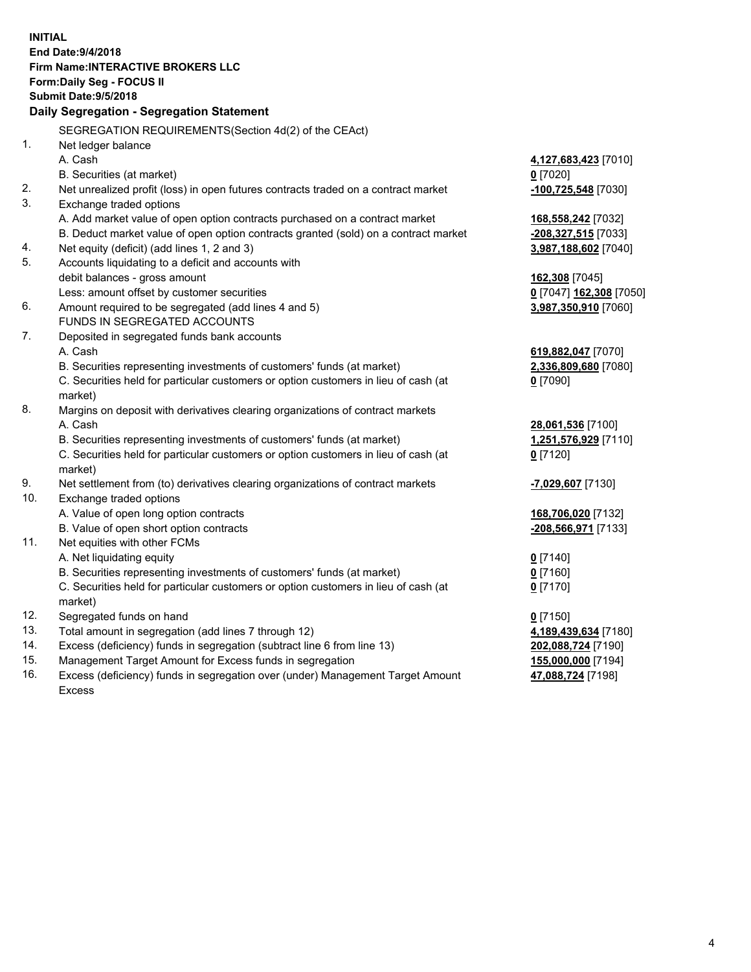|     | <b>INITIAL</b><br>End Date: 9/4/2018<br>Firm Name: INTERACTIVE BROKERS LLC<br>Form: Daily Seg - FOCUS II<br><b>Submit Date: 9/5/2018</b><br>Daily Segregation - Segregation Statement |                                |
|-----|---------------------------------------------------------------------------------------------------------------------------------------------------------------------------------------|--------------------------------|
|     | SEGREGATION REQUIREMENTS(Section 4d(2) of the CEAct)                                                                                                                                  |                                |
| 1.  | Net ledger balance                                                                                                                                                                    |                                |
|     | A. Cash                                                                                                                                                                               | 4,127,683,423 [7010]           |
|     | B. Securities (at market)                                                                                                                                                             | $0$ [7020]                     |
| 2.  | Net unrealized profit (loss) in open futures contracts traded on a contract market                                                                                                    | -100,725,548 [7030]            |
| 3.  | Exchange traded options                                                                                                                                                               |                                |
|     | A. Add market value of open option contracts purchased on a contract market                                                                                                           | 168,558,242 [7032]             |
|     | B. Deduct market value of open option contracts granted (sold) on a contract market                                                                                                   | -208,327,515 [7033]            |
| 4.  | Net equity (deficit) (add lines 1, 2 and 3)                                                                                                                                           | 3,987,188,602 [7040]           |
| 5.  | Accounts liquidating to a deficit and accounts with                                                                                                                                   |                                |
|     | debit balances - gross amount                                                                                                                                                         | 162,308 [7045]                 |
|     | Less: amount offset by customer securities                                                                                                                                            | 0 [7047] 162,308 [7050]        |
| 6.  | Amount required to be segregated (add lines 4 and 5)                                                                                                                                  | 3,987,350,910 [7060]           |
|     | FUNDS IN SEGREGATED ACCOUNTS                                                                                                                                                          |                                |
| 7.  | Deposited in segregated funds bank accounts                                                                                                                                           |                                |
|     | A. Cash                                                                                                                                                                               | 619,882,047 [7070]             |
|     | B. Securities representing investments of customers' funds (at market)                                                                                                                | 2,336,809,680 [7080]           |
|     | C. Securities held for particular customers or option customers in lieu of cash (at                                                                                                   | $0$ [7090]                     |
|     | market)                                                                                                                                                                               |                                |
| 8.  | Margins on deposit with derivatives clearing organizations of contract markets                                                                                                        |                                |
|     | A. Cash                                                                                                                                                                               | 28,061,536 [7100]              |
|     | B. Securities representing investments of customers' funds (at market)                                                                                                                | 1,251,576,929 [7110]           |
|     | C. Securities held for particular customers or option customers in lieu of cash (at                                                                                                   | $0$ [7120]                     |
|     | market)                                                                                                                                                                               |                                |
| 9.  | Net settlement from (to) derivatives clearing organizations of contract markets                                                                                                       | <mark>-7,029,607</mark> [7130] |
| 10. | Exchange traded options                                                                                                                                                               |                                |
|     | A. Value of open long option contracts                                                                                                                                                | 168,706,020 [7132]             |
|     | B. Value of open short option contracts                                                                                                                                               | -208,566,971 [7133]            |
| 11. | Net equities with other FCMs                                                                                                                                                          |                                |
|     | A. Net liquidating equity                                                                                                                                                             | $0$ [7140]                     |
|     | B. Securities representing investments of customers' funds (at market)<br>C. Securities held for particular customers or option customers in lieu of cash (at                         | $0$ [7160]                     |
|     | market)                                                                                                                                                                               | 0 <sup>[7170]</sup>            |
| 12. | Segregated funds on hand                                                                                                                                                              | $0$ [7150]                     |
| 13. | Total amount in segregation (add lines 7 through 12)                                                                                                                                  | 4,189,439,634 [7180]           |
| 14. | Excess (deficiency) funds in segregation (subtract line 6 from line 13)                                                                                                               | 202,088,724 [7190]             |
| 15. | Management Target Amount for Excess funds in segregation                                                                                                                              | 155,000,000 [7194]             |
| 16. | Excess (deficiency) funds in segregation over (under) Management Target Amount                                                                                                        | 47,088,724 [7198]              |

Excess